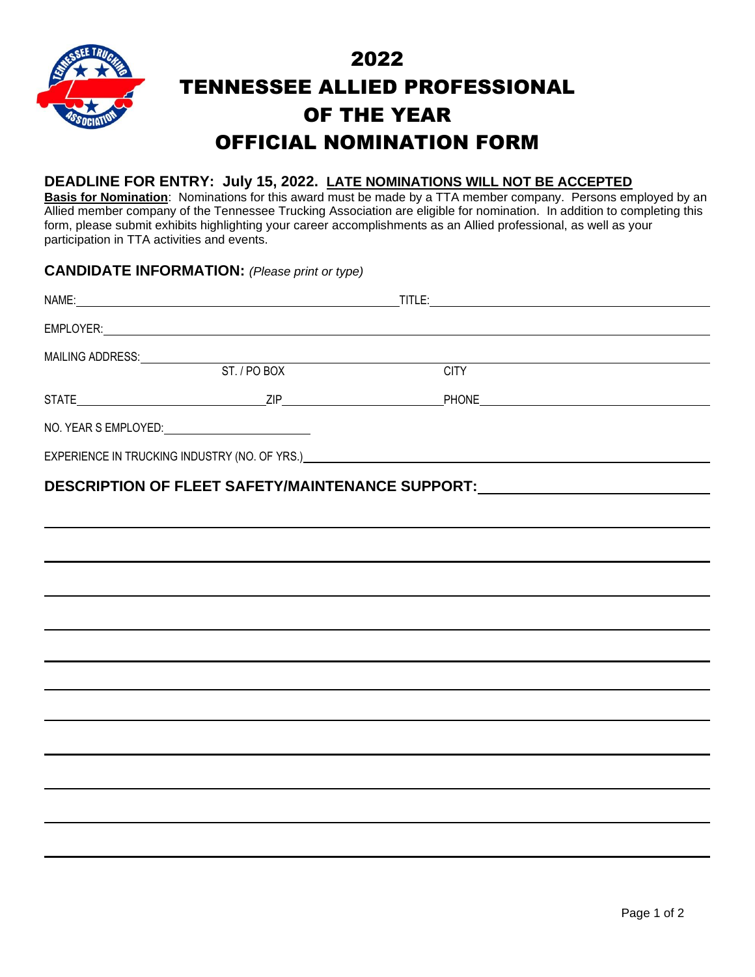

# 2022 TENNESSEE ALLIED PROFESSIONAL OF THE YEAR OFFICIAL NOMINATION FORM

#### **DEADLINE FOR ENTRY: July 15, 2022. LATE NOMINATIONS WILL NOT BE ACCEPTED**

**Basis for Nomination**: Nominations for this award must be made by a TTA member company. Persons employed by an Allied member company of the Tennessee Trucking Association are eligible for nomination. In addition to completing this form, please submit exhibits highlighting your career accomplishments as an Allied professional, as well as your participation in TTA activities and events.

#### **CANDIDATE INFORMATION:** *(Please print or type)*

| MAILING ADDRESS: ST. / PO BOX |                                                                                                                                                                                                                                |  |
|-------------------------------|--------------------------------------------------------------------------------------------------------------------------------------------------------------------------------------------------------------------------------|--|
|                               | <b>CITY</b>                                                                                                                                                                                                                    |  |
|                               |                                                                                                                                                                                                                                |  |
|                               |                                                                                                                                                                                                                                |  |
|                               | EXPERIENCE IN TRUCKING INDUSTRY (NO. OF YRS.) And the contract of the contract of the contract of the contract of the contract of the contract of the contract of the contract of the contract of the contract of the contract |  |
|                               | DESCRIPTION OF FLEET SAFETY/MAINTENANCE SUPPORT: _______________________________                                                                                                                                               |  |
|                               |                                                                                                                                                                                                                                |  |
|                               |                                                                                                                                                                                                                                |  |
|                               |                                                                                                                                                                                                                                |  |
|                               |                                                                                                                                                                                                                                |  |
|                               |                                                                                                                                                                                                                                |  |
|                               |                                                                                                                                                                                                                                |  |
|                               |                                                                                                                                                                                                                                |  |
|                               |                                                                                                                                                                                                                                |  |
|                               |                                                                                                                                                                                                                                |  |
|                               |                                                                                                                                                                                                                                |  |
|                               |                                                                                                                                                                                                                                |  |
|                               |                                                                                                                                                                                                                                |  |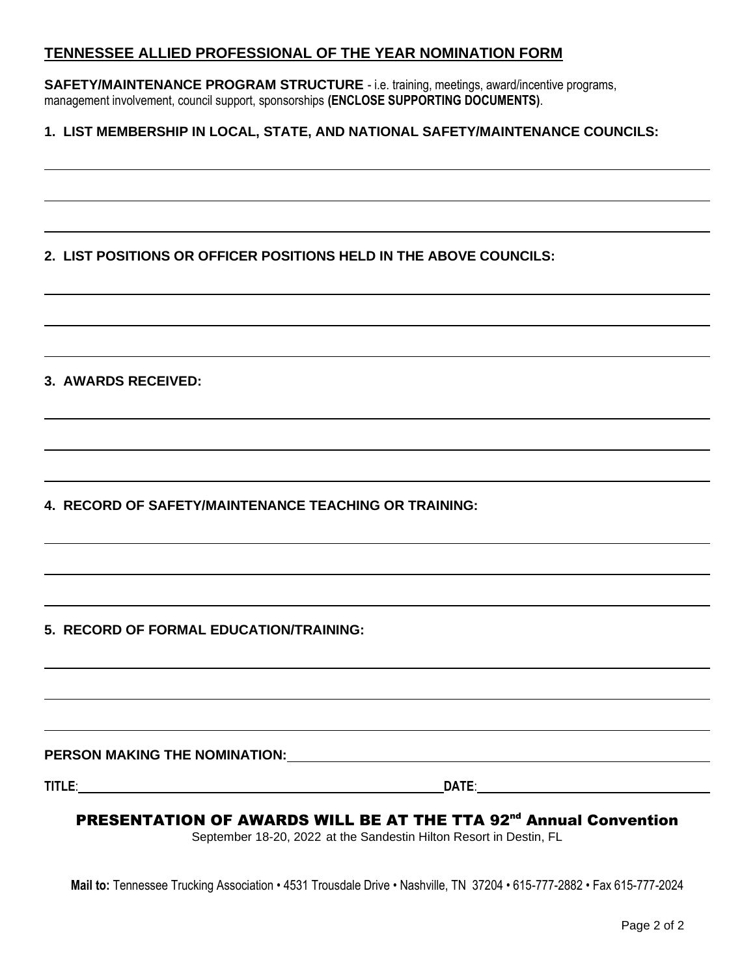#### **TENNESSEE ALLIED PROFESSIONAL OF THE YEAR NOMINATION FORM**

**SAFETY/MAINTENANCE PROGRAM STRUCTURE** - i.e. training, meetings, award/incentive programs, management involvement, council support, sponsorships **(ENCLOSE SUPPORTING DOCUMENTS)**.

#### **1. LIST MEMBERSHIP IN LOCAL, STATE, AND NATIONAL SAFETY/MAINTENANCE COUNCILS:**

#### **2. LIST POSITIONS OR OFFICER POSITIONS HELD IN THE ABOVE COUNCILS:**

#### **3. AWARDS RECEIVED:**

**4. RECORD OF SAFETY/MAINTENANCE TEACHING OR TRAINING:**

#### **5. RECORD OF FORMAL EDUCATION/TRAINING:**

**PERSON MAKING THE NOMINATION:**

**TITLE**: **DATE**:

#### PRESENTATION OF AWARDS WILL BE AT THE TTA 92<sup>nd</sup> Annual Convention

September 18-20, 2022 at the Sandestin Hilton Resort in Destin, FL

**Mail to:** Tennessee Trucking Association • 4531 Trousdale Drive • Nashville, TN 37204 • 615-777-2882 • Fax 615-777-2024